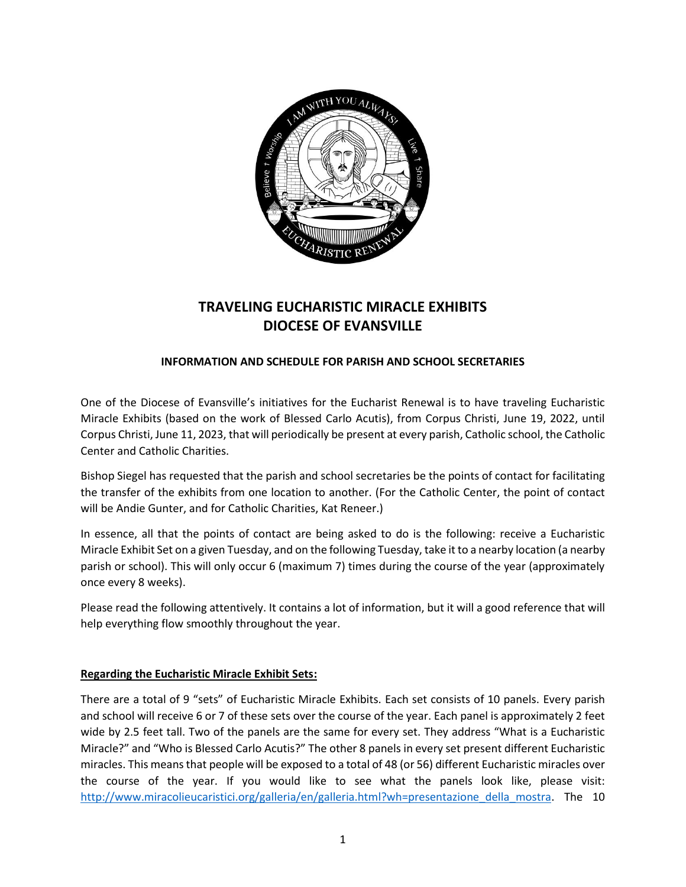

# **TRAVELING EUCHARISTIC MIRACLE EXHIBITS DIOCESE OF EVANSVILLE**

## **INFORMATION AND SCHEDULE FOR PARISH AND SCHOOL SECRETARIES**

One of the Diocese of Evansville's initiatives for the Eucharist Renewal is to have traveling Eucharistic Miracle Exhibits (based on the work of Blessed Carlo Acutis), from Corpus Christi, June 19, 2022, until Corpus Christi, June 11, 2023, that will periodically be present at every parish, Catholic school, the Catholic Center and Catholic Charities.

Bishop Siegel has requested that the parish and school secretaries be the points of contact for facilitating the transfer of the exhibits from one location to another. (For the Catholic Center, the point of contact will be Andie Gunter, and for Catholic Charities, Kat Reneer.)

In essence, all that the points of contact are being asked to do is the following: receive a Eucharistic Miracle Exhibit Set on a given Tuesday, and on the following Tuesday, take it to a nearby location (a nearby parish or school). This will only occur 6 (maximum 7) times during the course of the year (approximately once every 8 weeks).

Please read the following attentively. It contains a lot of information, but it will a good reference that will help everything flow smoothly throughout the year.

### **Regarding the Eucharistic Miracle Exhibit Sets:**

There are a total of 9 "sets" of Eucharistic Miracle Exhibits. Each set consists of 10 panels. Every parish and school will receive 6 or 7 of these sets over the course of the year. Each panel is approximately 2 feet wide by 2.5 feet tall. Two of the panels are the same for every set. They address "What is a Eucharistic Miracle?" and "Who is Blessed Carlo Acutis?" The other 8 panels in every set present different Eucharistic miracles. This means that people will be exposed to a total of 48 (or 56) different Eucharistic miracles over the course of the year. If you would like to see what the panels look like, please visit: [http://www.miracolieucaristici.org/galleria/en/galleria.html?wh=presentazione\\_della\\_mostra.](http://www.miracolieucaristici.org/galleria/en/galleria.html?wh=presentazione_della_mostra) The 10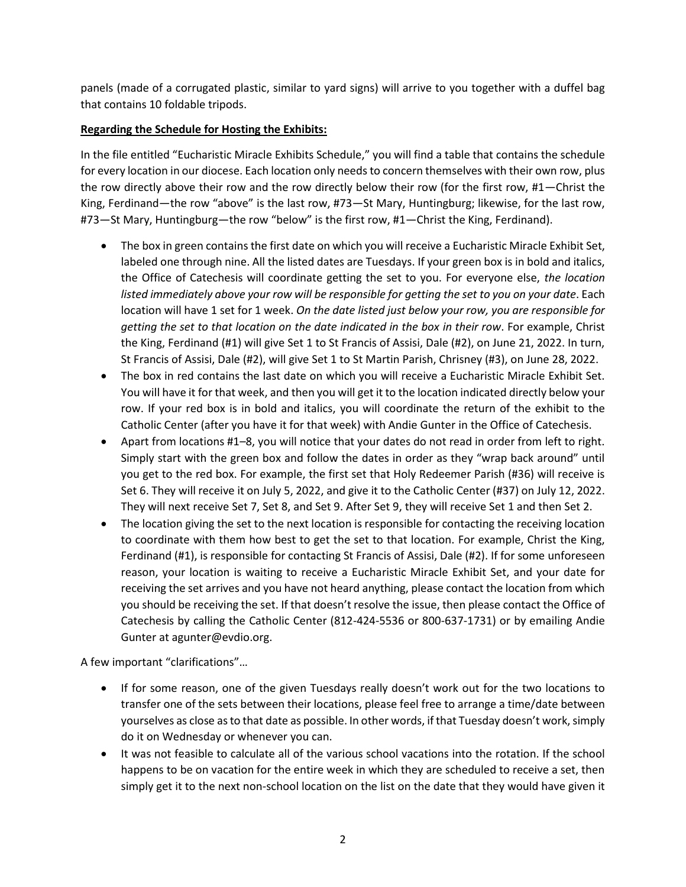panels (made of a corrugated plastic, similar to yard signs) will arrive to you together with a duffel bag that contains 10 foldable tripods.

## **Regarding the Schedule for Hosting the Exhibits:**

In the file entitled "Eucharistic Miracle Exhibits Schedule," you will find a table that contains the schedule for every location in our diocese. Each location only needs to concern themselves with their own row, plus the row directly above their row and the row directly below their row (for the first row, #1—Christ the King, Ferdinand—the row "above" is the last row, #73—St Mary, Huntingburg; likewise, for the last row, #73—St Mary, Huntingburg—the row "below" is the first row, #1—Christ the King, Ferdinand).

- The box in green contains the first date on which you will receive a Eucharistic Miracle Exhibit Set, labeled one through nine. All the listed dates are Tuesdays. If your green box is in bold and italics, the Office of Catechesis will coordinate getting the set to you. For everyone else, *the location listed immediately above your row will be responsible for getting the set to you on your date*. Each location will have 1 set for 1 week. *On the date listed just below your row, you are responsible for getting the set to that location on the date indicated in the box in their row*. For example, Christ the King, Ferdinand (#1) will give Set 1 to St Francis of Assisi, Dale (#2), on June 21, 2022. In turn, St Francis of Assisi, Dale (#2), will give Set 1 to St Martin Parish, Chrisney (#3), on June 28, 2022.
- The box in red contains the last date on which you will receive a Eucharistic Miracle Exhibit Set. You will have it for that week, and then you will get it to the location indicated directly below your row. If your red box is in bold and italics, you will coordinate the return of the exhibit to the Catholic Center (after you have it for that week) with Andie Gunter in the Office of Catechesis.
- Apart from locations #1–8, you will notice that your dates do not read in order from left to right. Simply start with the green box and follow the dates in order as they "wrap back around" until you get to the red box. For example, the first set that Holy Redeemer Parish (#36) will receive is Set 6. They will receive it on July 5, 2022, and give it to the Catholic Center (#37) on July 12, 2022. They will next receive Set 7, Set 8, and Set 9. After Set 9, they will receive Set 1 and then Set 2.
- The location giving the set to the next location is responsible for contacting the receiving location to coordinate with them how best to get the set to that location. For example, Christ the King, Ferdinand (#1), is responsible for contacting St Francis of Assisi, Dale (#2). If for some unforeseen reason, your location is waiting to receive a Eucharistic Miracle Exhibit Set, and your date for receiving the set arrives and you have not heard anything, please contact the location from which you should be receiving the set. If that doesn't resolve the issue, then please contact the Office of Catechesis by calling the Catholic Center (812-424-5536 or 800-637-1731) or by emailing Andie Gunter at agunter@evdio.org.

A few important "clarifications"…

- If for some reason, one of the given Tuesdays really doesn't work out for the two locations to transfer one of the sets between their locations, please feel free to arrange a time/date between yourselves as close as to that date as possible. In other words, if that Tuesday doesn't work, simply do it on Wednesday or whenever you can.
- It was not feasible to calculate all of the various school vacations into the rotation. If the school happens to be on vacation for the entire week in which they are scheduled to receive a set, then simply get it to the next non-school location on the list on the date that they would have given it